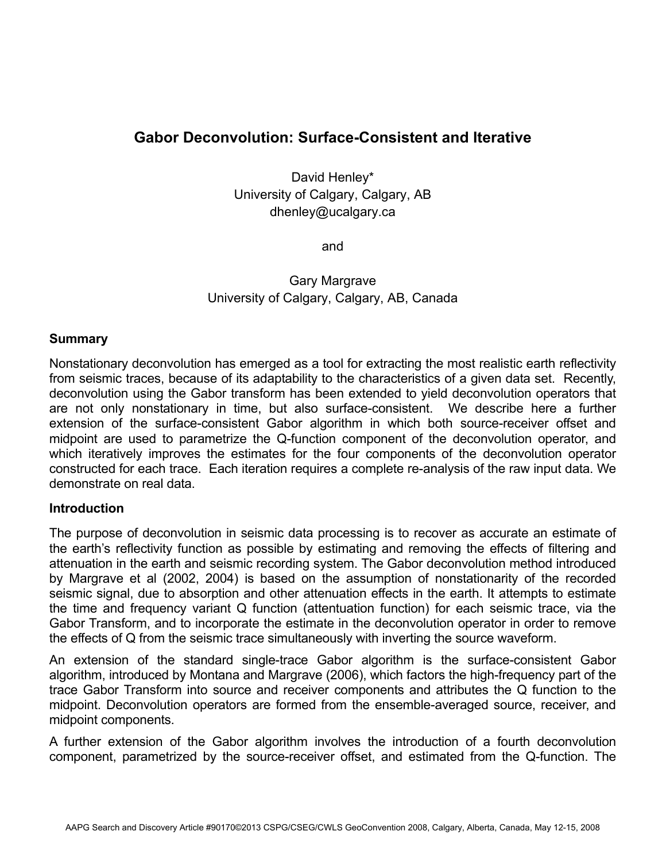# **Gabor Deconvolution: Surface-Consistent and Iterative**

David Henley\* University of Calgary, Calgary, AB dhenley@ucalgary.ca

and

Gary Margrave University of Calgary, Calgary, AB, Canada

### **Summary**

Nonstationary deconvolution has emerged as a tool for extracting the most realistic earth reflectivity from seismic traces, because of its adaptability to the characteristics of a given data set. Recently, deconvolution using the Gabor transform has been extended to yield deconvolution operators that are not only nonstationary in time, but also surface-consistent. We describe here a further extension of the surface-consistent Gabor algorithm in which both source-receiver offset and midpoint are used to parametrize the Q-function component of the deconvolution operator, and which iteratively improves the estimates for the four components of the deconvolution operator constructed for each trace. Each iteration requires a complete re-analysis of the raw input data. We demonstrate on real data.

#### **Introduction**

The purpose of deconvolution in seismic data processing is to recover as accurate an estimate of the earth's reflectivity function as possible by estimating and removing the effects of filtering and attenuation in the earth and seismic recording system. The Gabor deconvolution method introduced by Margrave et al (2002, 2004) is based on the assumption of nonstationarity of the recorded seismic signal, due to absorption and other attenuation effects in the earth. It attempts to estimate the time and frequency variant Q function (attentuation function) for each seismic trace, via the Gabor Transform, and to incorporate the estimate in the deconvolution operator in order to remove the effects of Q from the seismic trace simultaneously with inverting the source waveform.

An extension of the standard single-trace Gabor algorithm is the surface-consistent Gabor algorithm, introduced by Montana and Margrave (2006), which factors the high-frequency part of the trace Gabor Transform into source and receiver components and attributes the Q function to the midpoint. Deconvolution operators are formed from the ensemble-averaged source, receiver, and midpoint components.

A further extension of the Gabor algorithm involves the introduction of a fourth deconvolution component, parametrized by the source-receiver offset, and estimated from the Q-function. The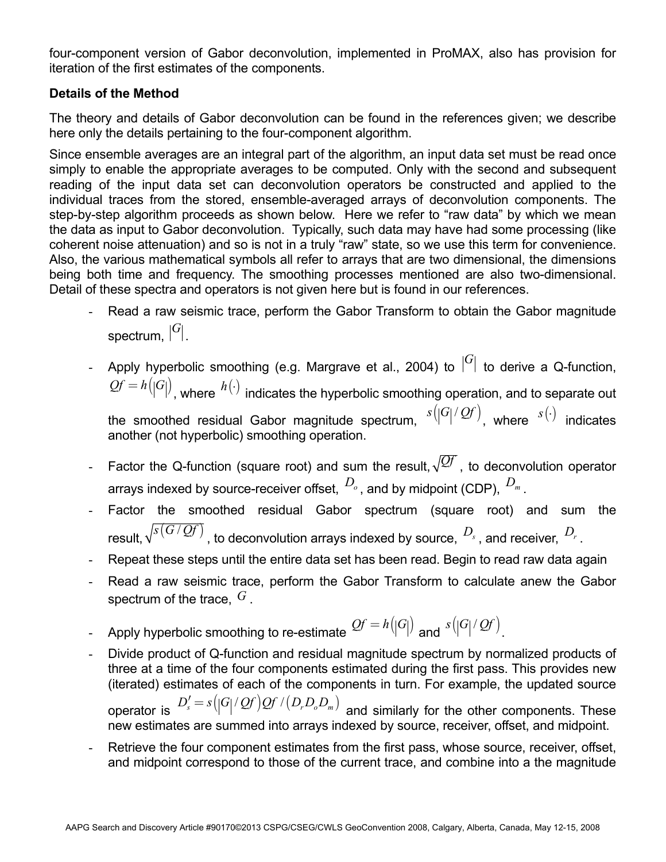four-component version of Gabor deconvolution, implemented in ProMAX, also has provision for iteration of the first estimates of the components.

## **Details of the Method**

The theory and details of Gabor deconvolution can be found in the references given; we describe here only the details pertaining to the four-component algorithm.

Since ensemble averages are an integral part of the algorithm, an input data set must be read once simply to enable the appropriate averages to be computed. Only with the second and subsequent reading of the input data set can deconvolution operators be constructed and applied to the individual traces from the stored, ensemble-averaged arrays of deconvolution components. The step-by-step algorithm proceeds as shown below. Here we refer to "raw data" by which we mean the data as input to Gabor deconvolution. Typically, such data may have had some processing (like coherent noise attenuation) and so is not in a truly "raw" state, so we use this term for convenience. Also, the various mathematical symbols all refer to arrays that are two dimensional, the dimensions being both time and frequency. The smoothing processes mentioned are also two-dimensional. Detail of these spectra and operators is not given here but is found in our references.

- Read a raw seismic trace, perform the Gabor Transform to obtain the Gabor magnitude spectrum,  $|G|$ .
- Apply hyperbolic smoothing (e.g. Margrave et al., 2004) to  $|G|$  to derive a Q-function,  $Qf = h(|G|)$ , where  $h(\cdot)$  indicates the hyperbolic smoothing operation, and to separate out the smoothed residual Gabor magnitude spectrum,  $s(|G|/{\mathcal{Q}} f)$ , where  $s(\cdot)$  indicates another (not hyperbolic) smoothing operation.
- Factor the Q-function (square root) and sum the result,  $\sqrt{Qf}$ , to deconvolution operator arrays indexed by source-receiver offset,  $D_0$ , and by midpoint (CDP),  $D_m$ .
- Factor the smoothed residual Gabor spectrum (square root) and sum the result,  $\sqrt{s(G/Qf)}$ , to deconvolution arrays indexed by source,  $D_s$ , and receiver,  $D_r$ .
- Repeat these steps until the entire data set has been read. Begin to read raw data again
- Read a raw seismic trace, perform the Gabor Transform to calculate anew the Gabor spectrum of the trace, *G* .
- Apply hyperbolic smoothing to re-estimate  $Qf = h(|G|)$  and  $s(|G|/Qf)$ .
- Divide product of Q-function and residual magnitude spectrum by normalized products of three at a time of the four components estimated during the first pass. This provides new (iterated) estimates of each of the components in turn. For example, the updated source operator is  $D_s' = s(|G|/Qf)Qf/(D_r D_o D_m)$  and similarly for the other components. These new estimates are summed into arrays indexed by source, receiver, offset, and midpoint.
- Retrieve the four component estimates from the first pass, whose source, receiver, offset, and midpoint correspond to those of the current trace, and combine into a the magnitude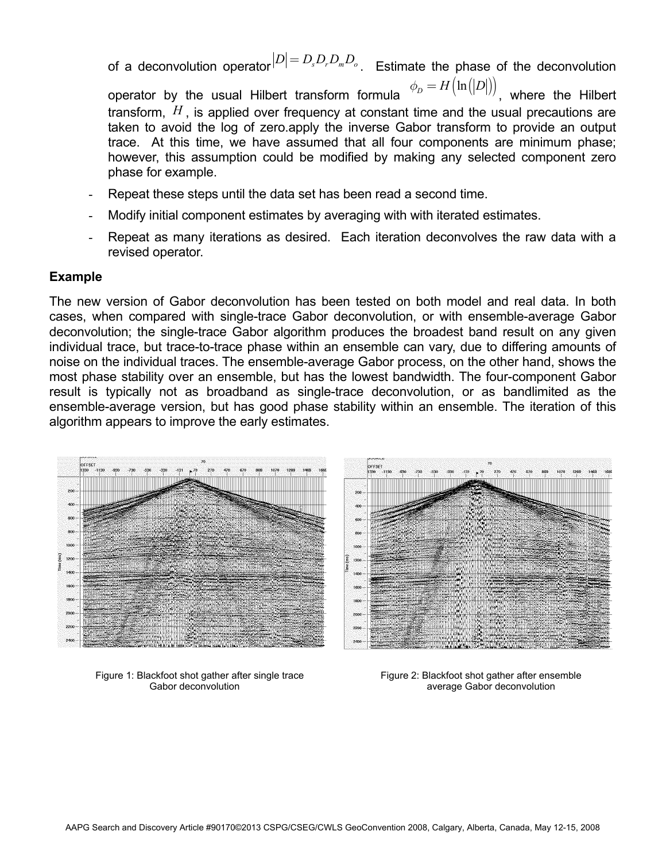of a deconvolution operator  $|D| = D_s D_r D_m D_o$ . Estimate the phase of the deconvolution operator by the usual Hilbert transform formula  $\phi_D = H(\ln(|D|))$ , where the Hilbert transform, *H* , is applied over frequency at constant time and the usual precautions are taken to avoid the log of zero.apply the inverse Gabor transform to provide an output trace. At this time, we have assumed that all four components are minimum phase; however, this assumption could be modified by making any selected component zero

- Repeat these steps until the data set has been read a second time.
- Modify initial component estimates by averaging with with iterated estimates.
- Repeat as many iterations as desired. Each iteration deconvolves the raw data with a revised operator.

### **Example**

The new version of Gabor deconvolution has been tested on both model and real data. In both cases, when compared with single-trace Gabor deconvolution, or with ensemble-average Gabor deconvolution; the single-trace Gabor algorithm produces the broadest band result on any given individual trace, but trace-to-trace phase within an ensemble can vary, due to differing amounts of noise on the individual traces. The ensemble-average Gabor process, on the other hand, shows the most phase stability over an ensemble, but has the lowest bandwidth. The four-component Gabor result is typically not as broadband as single-trace deconvolution, or as bandlimited as the ensemble-average version, but has good phase stability within an ensemble. The iteration of this algorithm appears to improve the early estimates.



phase for example.



Figure 1: Blackfoot shot gather after single trace Figure 2: Blackfoot shot gather after ensemble

Gabor deconvolution average Gabor deconvolution average Gabor deconvolution